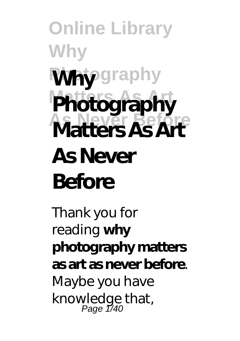**Online Library Why Why**graphy **Photography As Never Before Matters As Art As Never Before**

Thank you for reading **why photography matters as art as never before**. Maybe you have knowledge that,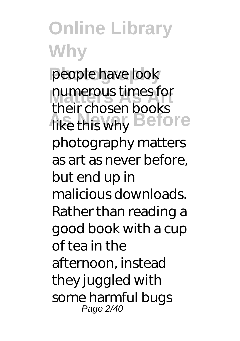**Online Library Why** people have look numerous times for **Hike this why Before** their chosen books photography matters as art as never before, but end up in malicious downloads. Rather than reading a good book with a cup of tea in the afternoon, instead they juggled with some harmful bugs Page 2/40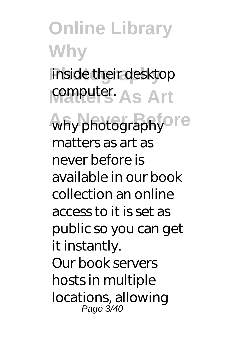**Online Library Why Photography** inside their desktop **Computer As Art** why photography<sup>ore</sup> matters as art as never before is available in our book collection an online access to it is set as public so you can get it instantly. Our book servers hosts in multiple locations, allowing Page 3/40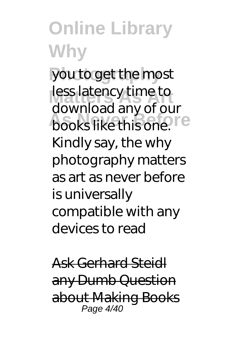you to get the most less latency time to **books like this one.** I'e download any of our Kindly say, the why photography matters as art as never before is universally compatible with any devices to read

Ask Gerhard Steidl any Dumb Question about Making Books Page 4/40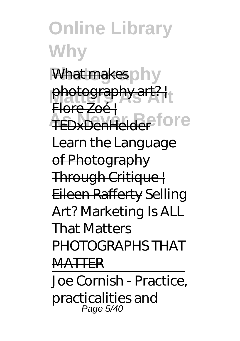**Online Library Why** What makes ohy photography art? | TEDxDenHelder<sup>fore</sup> Flore Zoé | Learn the Language of Photography Through Critique | Eileen Rafferty *Selling Art? Marketing Is ALL That Matters* PHOTOGRAPHS THAT MATTER Joe Cornish - Practice,

practicalities and Page 5/40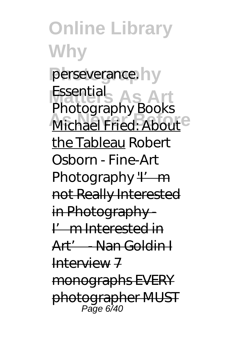**Online Library Why** perseverance.hy **Matters As Art** *Essential* **Michael Fried: About** *Photography Books* the Tableau *Robert Osborn - Fine-Art Photography*<sup>''</sup> m not Really Interested in Photography -I'm Interested in Art' - Nan Goldin I  $Int$  $N$  7 monographs EVERY photographer MUST Page 6/40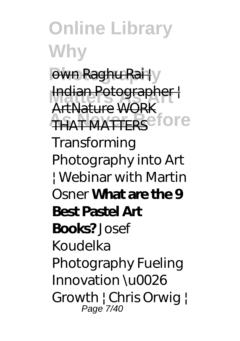**Online Library Why Pwn Raghu Rai | y Indian Potographer THAT MATTERS** FOLE ArtNature WORK *Transforming Photography into Art | Webinar with Martin Osner* **What are the 9 Best Pastel Art Books?** *Josef Koudelka Photography Fueling Innovation \u0026 Growth | Chris Orwig |* Page<sup>'</sup> 7/40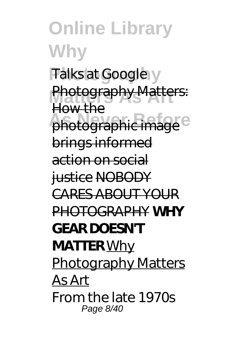**Online Library Why** *Talks at Google* **Photography Matters: Photographic image** How the brings informed action on social justice NOBODY CARES ABOUT YOUR PHOTOGRAPHY **WHY GEAR DOESN'T MATTER** Why Photography Matters As Art From the late 1970s Page 8/40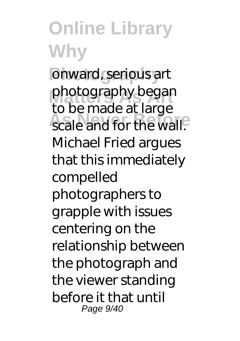**Photography** onward, serious art photography began **As a New York Constraints** to be made at large Michael Fried argues that this immediately compelled photographers to grapple with issues centering on the relationship between the photograph and the viewer standing before it that until Page 9/40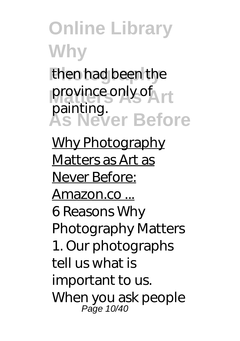then had been the province only of **As Never Before** painting.

Why Photography Matters as Art as Never Before: Amazon.co ... 6 Reasons Why Photography Matters 1. Our photographs tell us what is important to us. When you ask people Page 10/40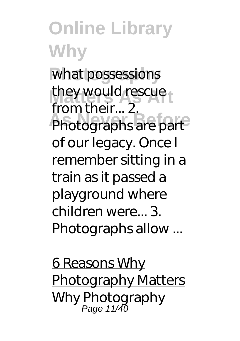**Online Library Why** what possessions they would rescue **Photographs are part** from their... 2. of our legacy. Once I remember sitting in a train as it passed a playground where children were... 3. Photographs allow ...

6 Reasons Why Photography Matters Why Photography Page 11/40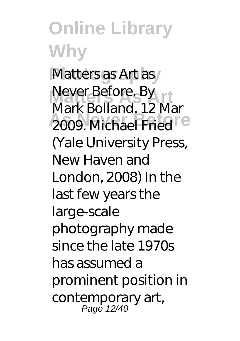**Online Library Why** Matters as Art as **Never Before. By Principle Before** Mark Bolland. 12 Mar (Yale University Press, New Haven and London, 2008) In the last few years the large-scale photography made since the late 1970s has assumed a prominent position in contemporary art, Page 12/40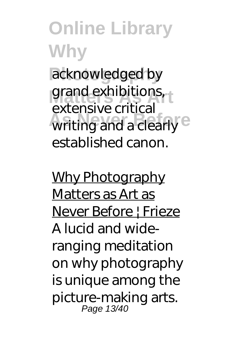acknowledged by grand exhibitions, writing and a clearly <sup>e</sup> extensive critical established canon.

Why Photography Matters as Art as Never Before | Frieze A lucid and wideranging meditation on why photography is unique among the picture-making arts. Page 13/40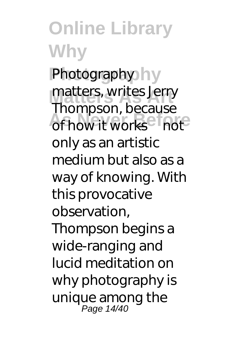**Photography** Photography matters, writes Jerry **As Never Before** of how it works—not Thompson, because only as an artistic medium but also as a way of knowing. With this provocative observation, Thompson begins a wide-ranging and lucid meditation on why photography is unique among the Page 14/40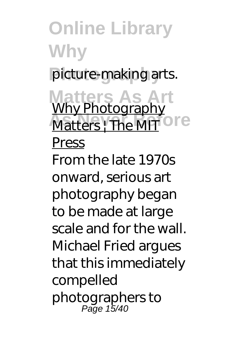**Online Library Why** picture-making arts. **Matters As Art Matters** | The MIT<sup>O</sup> I<sup>C</sup> Why Photography Press From the late 1970s onward, serious art photography began to be made at large scale and for the wall. Michael Fried argues that this immediately compelled photographers to Page 15/40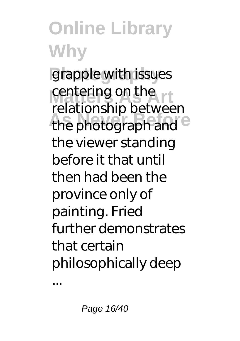grapple with issues centering on the the photograph and <sup>e</sup> relationship between the viewer standing before it that until then had been the province only of painting. Fried further demonstrates that certain philosophically deep

...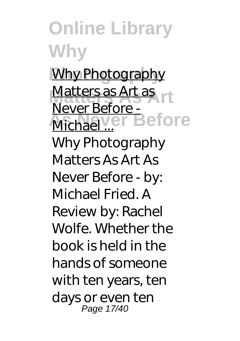**Why Photography Matters as Art as Michael ... Before** Never Before - Why Photography Matters As Art As Never Before - by: Michael Fried. A Review by: Rachel Wolfe. Whether the book is held in the hands of someone with ten years, ten days or even ten Page 17/40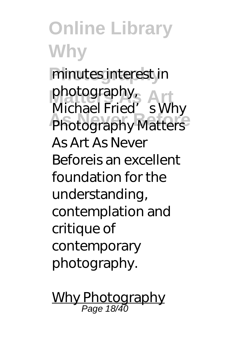**Online Library Why** minutes interest in pnotography<br>Michael Fried's Why **Photography Matters** photography, As Art As Never Beforeis an excellent foundation for the understanding, contemplation and critique of contemporary photography.

Why Photography Page 18/40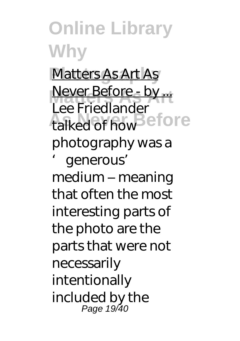**Photography** Matters As Art As **Never Before - by ...**<br>Les Friedlander talked of how efore Lee Friedlander photography was a 'generous' medium – meaning

that often the most interesting parts of the photo are the parts that were not necessarily intentionally included by the Page 19/40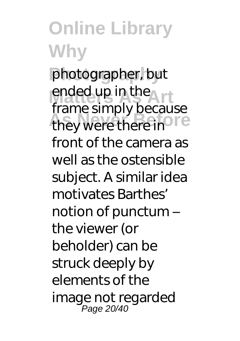**Photography** photographer, but ended up in the they were there in<sup>ore</sup> frame simply because front of the camera as well as the ostensible subject. A similar idea motivates Barthes' notion of punctum – the viewer (or beholder) can be struck deeply by elements of the image not regarded Page 20/40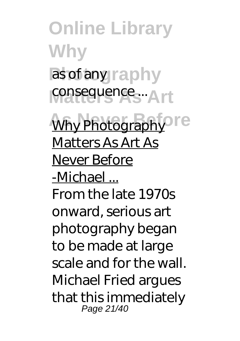**Online Library Why** as of any raphy consequence ... Art **Why Photography** re Matters As Art As Never Before -Michael ... From the late 1970s onward, serious art photography began to be made at large scale and for the wall. Michael Fried argues that this immediately Page 21/40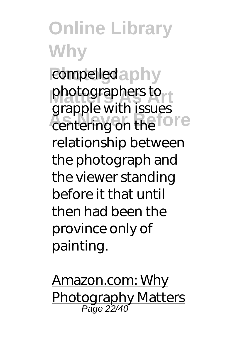**Online Library Why** compelled a phy photographers to **Particular Exception** grapple with issues relationship between the photograph and the viewer standing before it that until then had been the province only of painting.

Amazon.com: Why **Photography Matters** Page 22/40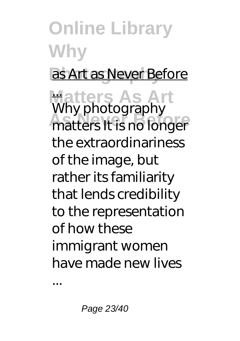#### **Online Library Why** as Art as Never Before **Matters As Art** ... **As a process depth**<br>matters It is no longer Why photography the extraordinariness of the image, but rather its familiarity that lends credibility to the representation of how these immigrant women

have made new lives

...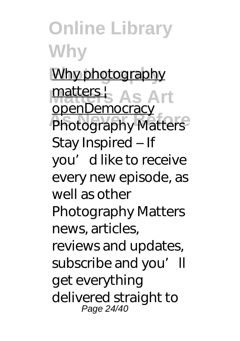**Online Library Why Why photography** matters<sup>1</sup>, As Art **Photography Matters** openDemocracy Stay Inspired – If you'd like to receive every new episode, as well as other Photography Matters news, articles, reviews and updates, subscribe and you'll get everything delivered straight to Page 24/40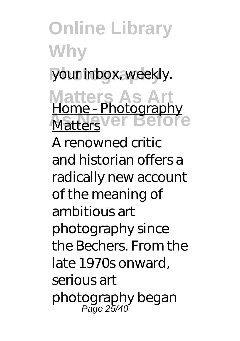**Online Library Why** your inbox, weekly. **Matters As Art Matters**ver Before Home - Photography A renowned critic and historian offers a radically new account of the meaning of ambitious art photography since the Bechers. From the late 1970s onward, serious art photography began Page 25/40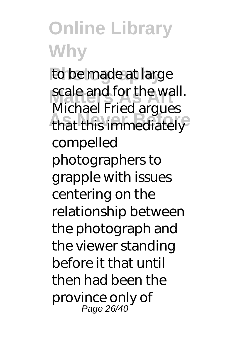to be made at large scale and for the wall. **That this immediately** Michael Fried argues compelled photographers to grapple with issues centering on the relationship between the photograph and the viewer standing before it that until then had been the province only of Page 26/40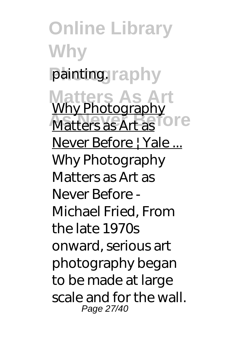**Online Library Why** painting.raphy **Matters As Art Matters as Art as TOTE** Why Photography Never Before | Yale ... Why Photography Matters as Art as Never Before - Michael Fried, From the late 1970s onward, serious art photography began to be made at large scale and for the wall. Page 27/40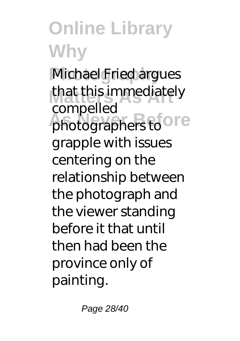**Michael Fried argues** that this immediately photographers to Ore compelled grapple with issues centering on the relationship between the photograph and the viewer standing before it that until then had been the province only of painting.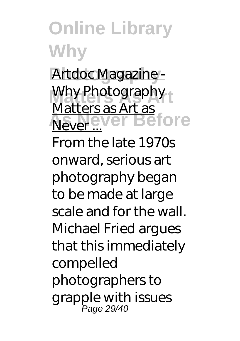Artdoc Magazine -**Why Photography Never Before** Matters as Art as

From the late 1970s onward, serious art photography began to be made at large scale and for the wall. Michael Fried argues that this immediately compelled photographers to grapple with issues Page 29/40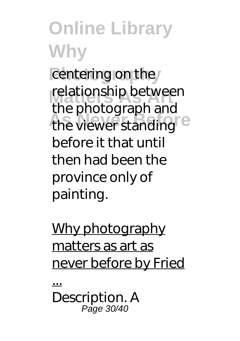centering on the relationship between the viewer standing<sup>e</sup> the photograph and before it that until then had been the province only of painting.

#### Why photography matters as art as never before by Fried

...

Description. A Page 30/40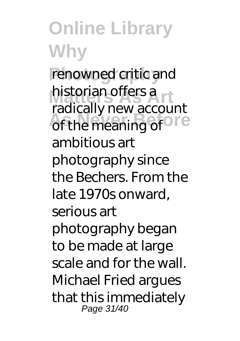renowned critic and historian offers a **Assisting** it is a section radically new account ambitious art photography since the Bechers. From the late 1970s onward, serious art photography began to be made at large scale and for the wall. Michael Fried argues that this immediately Page 31/40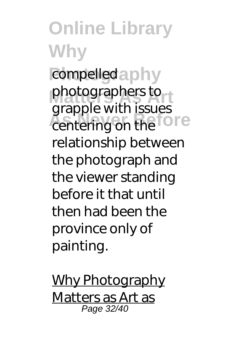**Online Library Why** compelled a phy photographers to **Particular Exception** grapple with issues relationship between the photograph and the viewer standing before it that until then had been the province only of painting.

Why Photography Matters as Art as Page 32/40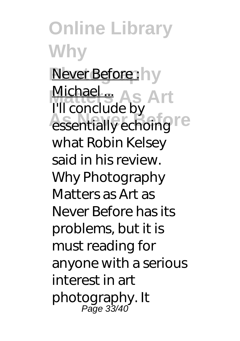**Online Library Why Never Before:** hy Michael ...<br>I'll eanglud als Art **Assemblance** I'll conclude by what Robin Kelsey said in his review. Why Photography Matters as Art as Never Before has its problems, but it is must reading for anyone with a serious interest in art photography. It Page 33/40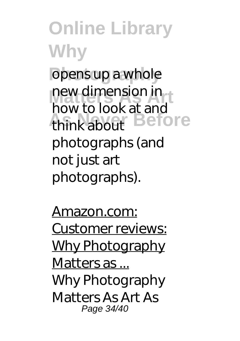**Online Library Why** opens up a whole **new dimension in**<br>**houte** leak at and think about **Before** how to look at and photographs (and not just art photographs).

Amazon.com: Customer reviews: Why Photography Matters as ... Why Photography Matters As Art As Page 34/40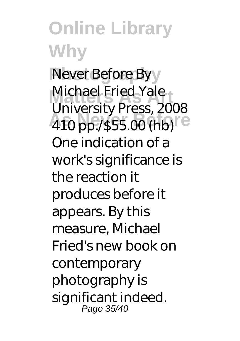**Never Before By** Michael Fried Yale 410 pp./\$55.00 (hb) University Press, 2008 One indication of a work's significance is the reaction it produces before it appears. By this measure, Michael Fried's new book on contemporary photography is significant indeed. Page 35/40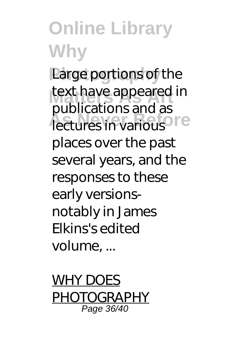**Large portions of the** text have appeared in *<u>Lectures in various</u>* publications and as places over the past several years, and the responses to these early versionsnotably in James Elkins's edited volume, ...

WHY DOES PHOTOGRAPHY Page 36/40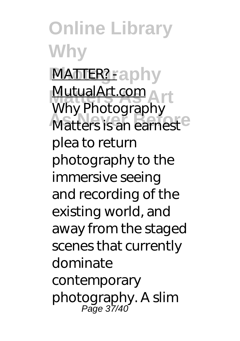**Online Library Why MATTER?** Faphy MutualArt.com<br>Why Phetegraph **Matters is an earnest** Why Photography plea to return photography to the immersive seeing and recording of the existing world, and away from the staged scenes that currently dominate contemporary photography. A slim Page 37/40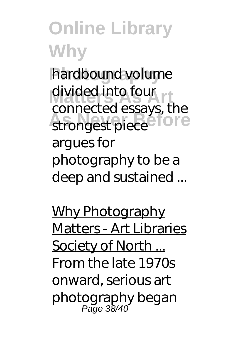hardbound volume divided into four strongest piece<sup>e</sup> fore connected essays, the argues for photography to be a deep and sustained ...

Why Photography Matters - Art Libraries Society of North ... From the late 1970s onward, serious art photography began Page 38/40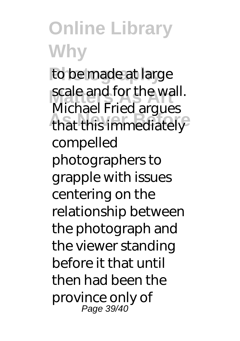to be made at large scale and for the wall. **That this immediately** Michael Fried argues compelled photographers to grapple with issues centering on the relationship between the photograph and the viewer standing before it that until then had been the province only of Page 39/40